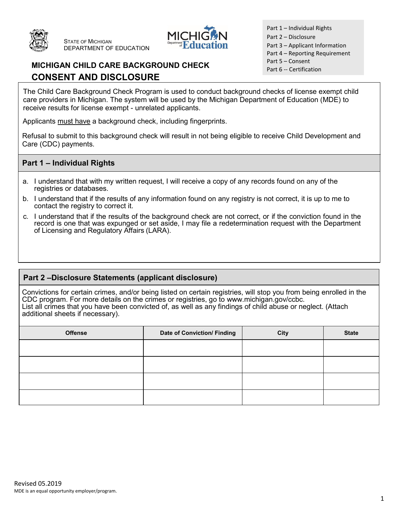

STATE OF MICHIGAN DEPARTMENT OF EDUCATION



Part 1 – Individual Rights Part 2 – Disclosure Part 3 – Applicant Information Part 4 – Reporting Requirement Part 5 – Consent Part 6 -- Certification

# **MICHIGAN CHILD CARE BACKGROUND CHECK CONSENT AND DISCLOSURE**

The Child Care Background Check Program is used to conduct background checks of license exempt child care providers in Michigan. The system will be used by the Michigan Department of Education (MDE) to receive results for license exempt - unrelated applicants.

Applicants must have a background check, including fingerprints.

Refusal to submit to this background check will result in not being eligible to receive Child Development and Care (CDC) payments.

#### **Part 1 – Individual Rights**

- a. I understand that with my written request, I will receive a copy of any records found on any of the registries or databases.
- b. I understand that if the results of any information found on any registry is not correct, it is up to me to contact the registry to correct it.
- c. I understand that if the results of the background check are not correct, or if the conviction found in the record is one that was expunged or set aside, I may file a redetermination request with the Department of Licensing and Regulatory Affairs (LARA).

## **Part 2 –Disclosure Statements (applicant disclosure)**

Convictions for certain crimes, and/or being listed on certain registries, will stop you from being enrolled in the CDC program. For more details on the crimes or registries, go to [www.michigan.gov/ccbc.](http://www.michigan.gov/ccbc) List all crimes that you have been convicted of, as well as any findings of child abuse or neglect. (Attach additional sheets if necessary).

| <b>Offense</b> | <b>Date of Conviction/ Finding</b> | City | <b>State</b> |
|----------------|------------------------------------|------|--------------|
|                |                                    |      |              |
|                |                                    |      |              |
|                |                                    |      |              |
|                |                                    |      |              |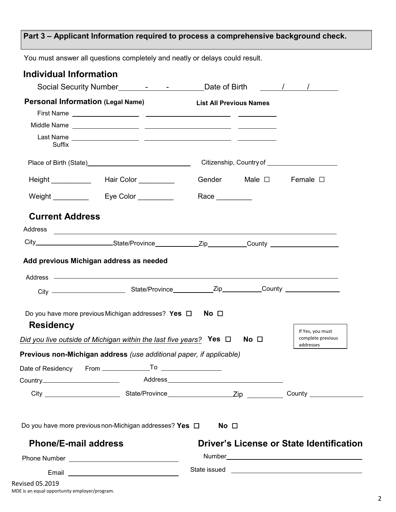# **Part 3 – Applicant Information required to process a comprehensive background check.**

You must answer all questions completely and neatly or delays could result.

| <b>Individual Information</b>            |                                                                                                                      |                                |               |                                                    |
|------------------------------------------|----------------------------------------------------------------------------------------------------------------------|--------------------------------|---------------|----------------------------------------------------|
|                                          |                                                                                                                      |                                |               |                                                    |
| <b>Personal Information (Legal Name)</b> |                                                                                                                      | <b>List All Previous Names</b> |               |                                                    |
| Suffix                                   |                                                                                                                      |                                |               |                                                    |
|                                          |                                                                                                                      |                                |               |                                                    |
|                                          | Height ____________  Hair Color __________                                                                           |                                | Gender Male □ | Female $\square$                                   |
| Weight _________                         | Eye Color _________                                                                                                  | Race ________                  |               |                                                    |
| <b>Current Address</b>                   |                                                                                                                      |                                |               |                                                    |
| Address                                  | <u> Alexandria de la contrada de la contrada de la contrada de la contrada de la contrada de la contrada de la c</u> |                                |               |                                                    |
|                                          | City__________________________State/Province_____________Zip___________County _____________________                  |                                |               |                                                    |
|                                          | Do you have more previous Michigan addresses? Yes $\Box$ No $\Box$                                                   |                                |               |                                                    |
| <b>Residency</b>                         |                                                                                                                      |                                |               |                                                    |
|                                          | Did you live outside of Michigan within the last five years? Yes $\Box$                                              |                                | No $\Box$     | If Yes, you must<br>complete previous<br>addresses |
|                                          | Previous non-Michigan address (use additional paper, if applicable)                                                  |                                |               |                                                    |
|                                          |                                                                                                                      |                                |               |                                                    |
|                                          |                                                                                                                      |                                |               |                                                    |
|                                          |                                                                                                                      |                                |               |                                                    |
|                                          | Do you have more previous non-Michigan addresses? Yes $\Box$                                                         | No $\Box$                      |               |                                                    |
| <b>Phone/E-mail address</b>              |                                                                                                                      |                                |               | <b>Driver's License or State Identification</b>    |
|                                          |                                                                                                                      |                                |               |                                                    |
|                                          |                                                                                                                      |                                |               |                                                    |

Revised 05.2019 MDE is an equal opportunity employer/program.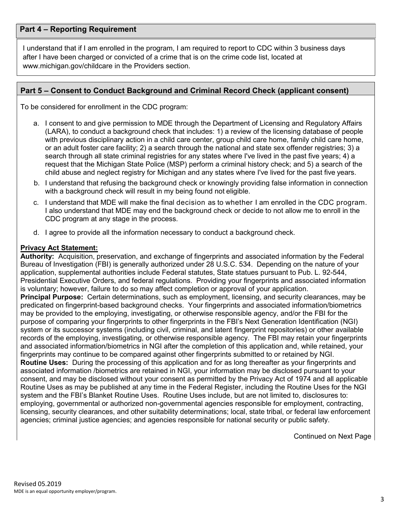#### **Part 4 – Reporting Requirement**

I understand that if I am enrolled in the program, I am required to report to CDC within 3 business days after I have been charged or convicted of a crime that is on the crime code list, located at [www.michigan.gov/childcare i](http://www.michigan.gov/childcare)n the Providers section.

#### **Part 5 – Consent to Conduct Background and Criminal Record Check (applicant consent)**

To be considered for enrollment in the CDC program:

- a. I consent to and give permission to MDE through the Department of Licensing and Regulatory Affairs (LARA), to conduct a background check that includes: 1) a review of the licensing database of people with previous disciplinary action in a child care center, group child care home, family child care home, or an adult foster care facility; 2) a search through the national and state sex offender registries; 3) a search through all state criminal registries for any states where I've lived in the past five years; 4) a request that the Michigan State Police (MSP) perform a criminal history check; and 5) a search of the child abuse and neglect registry for Michigan and any states where I've lived for the past five years.
- b. I understand that refusing the background check or knowingly providing false information in connection with a background check will result in my being found not eligible.
- c. I understand that MDE will make the final decision as to whether I am enrolled in the CDC program. I also understand that MDE may end the background check or decide to not allow me to enroll in the CDC program at any stage in the process.
- d. I agree to provide all the information necessary to conduct a background check.

#### **Privacy Act Statement:**

**Authority:** Acquisition, preservation, and exchange of fingerprints and associated information by the Federal Bureau of Investigation (FBI) is generally authorized under 28 U.S.C. 534. Depending on the nature of your application, supplemental authorities include Federal statutes, State statues pursuant to Pub. L. 92-544, Presidential Executive Orders, and federal regulations. Providing your fingerprints and associated information is voluntary; however, failure to do so may affect completion or approval of your application. **Principal Purpose:** Certain determinations, such as employment, licensing, and security clearances, may be

predicated on fingerprint-based background checks. Your fingerprints and associated information/biometrics may be provided to the employing, investigating, or otherwise responsible agency, and/or the FBI for the purpose of comparing your fingerprints to other fingerprints in the FBI's Next Generation Identification (NGI) system or its successor systems (including civil, criminal, and latent fingerprint repositories) or other available records of the employing, investigating, or otherwise responsible agency. The FBI may retain your fingerprints and associated information/biometrics in NGI after the completion of this application and, while retained, your fingerprints may continue to be compared against other fingerprints submitted to or retained by NGI. **Routine Uses:** During the processing of this application and for as long thereafter as your fingerprints and associated information /biometrics are retained in NGI, your information may be disclosed pursuant to your consent, and may be disclosed without your consent as permitted by the Privacy Act of 1974 and all applicable Routine Uses as may be published at any time in the Federal Register, including the Routine Uses for the NGI system and the FBI's Blanket Routine Uses. Routine Uses include, but are not limited to, disclosures to: employing, governmental or authorized non-governmental agencies responsible for employment, contracting, licensing, security clearances, and other suitability determinations; local, state tribal, or federal law enforcement agencies; criminal justice agencies; and agencies responsible for national security or public safety.

Continued on Next Page